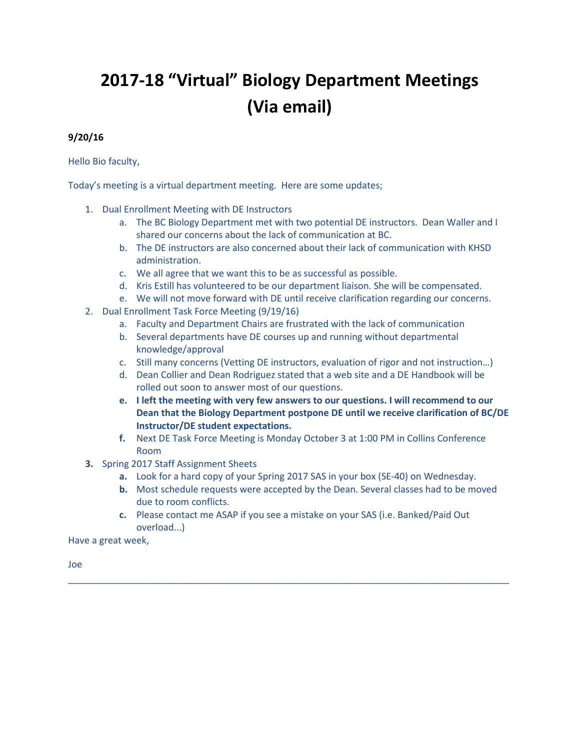## **2017-18 "Virtual" Biology Department Meetings (Via email)**

## **9/20/16**

Hello Bio faculty,

Today's meeting is a virtual department meeting. Here are some updates;

- 1. Dual Enrollment Meeting with DE Instructors
	- a. The BC Biology Department met with two potential DE instructors. Dean Waller and I shared our concerns about the lack of communication at BC.
	- b. The DE instructors are also concerned about their lack of communication with KHSD administration.
	- c. We all agree that we want this to be as successful as possible.
	- d. Kris Estill has volunteered to be our department liaison. She will be compensated.
	- e. We will not move forward with DE until receive clarification regarding our concerns.
- 2. Dual Enrollment Task Force Meeting (9/19/16)
	- a. Faculty and Department Chairs are frustrated with the lack of communication
	- b. Several departments have DE courses up and running without departmental knowledge/approval
	- c. Still many concerns (Vetting DE instructors, evaluation of rigor and not instruction…)
	- d. Dean Collier and Dean Rodriguez stated that a web site and a DE Handbook will be rolled out soon to answer most of our questions.
	- **e. I left the meeting with very few answers to our questions. I will recommend to our Dean that the Biology Department postpone DE until we receive clarification of BC/DE Instructor/DE student expectations.**
	- **f.** Next DE Task Force Meeting is Monday October 3 at 1:00 PM in Collins Conference Room
- **3.** Spring 2017 Staff Assignment Sheets
	- **a.** Look for a hard copy of your Spring 2017 SAS in your box (SE-40) on Wednesday.
	- **b.** Most schedule requests were accepted by the Dean. Several classes had to be moved due to room conflicts.
	- **c.** Please contact me ASAP if you see a mistake on your SAS (i.e. Banked/Paid Out overload...)

\_\_\_\_\_\_\_\_\_\_\_\_\_\_\_\_\_\_\_\_\_\_\_\_\_\_\_\_\_\_\_\_\_\_\_\_\_\_\_\_\_\_\_\_\_\_\_\_\_\_\_\_\_\_\_\_\_\_\_\_\_\_\_\_\_\_\_\_\_\_\_\_\_\_\_\_\_\_\_\_\_\_\_\_\_

Have a great week,

Joe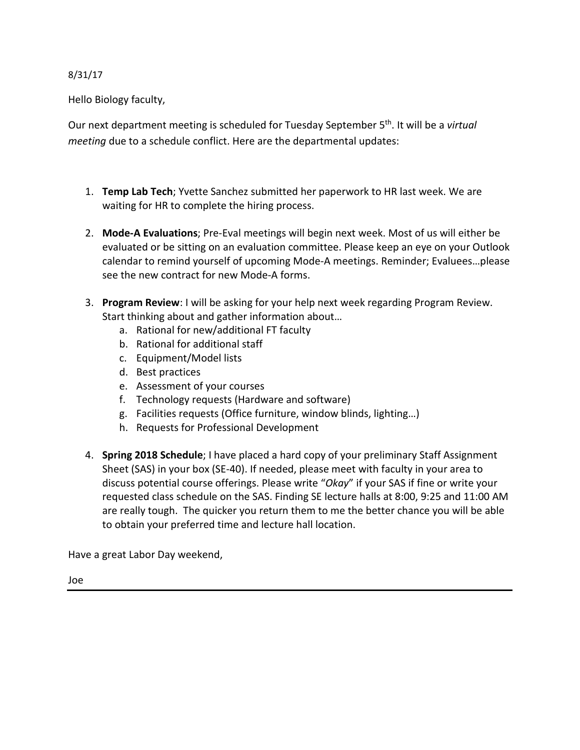## 8/31/17

Hello Biology faculty,

Our next department meeting is scheduled for Tuesday September 5th. It will be a *virtual meeting* due to a schedule conflict. Here are the departmental updates:

- 1. **Temp Lab Tech**; Yvette Sanchez submitted her paperwork to HR last week. We are waiting for HR to complete the hiring process.
- 2. **Mode-A Evaluations**; Pre-Eval meetings will begin next week. Most of us will either be evaluated or be sitting on an evaluation committee. Please keep an eye on your Outlook calendar to remind yourself of upcoming Mode-A meetings. Reminder; Evaluees…please see the new contract for new Mode-A forms.
- 3. **Program Review**: I will be asking for your help next week regarding Program Review. Start thinking about and gather information about…
	- a. Rational for new/additional FT faculty
	- b. Rational for additional staff
	- c. Equipment/Model lists
	- d. Best practices
	- e. Assessment of your courses
	- f. Technology requests (Hardware and software)
	- g. Facilities requests (Office furniture, window blinds, lighting…)
	- h. Requests for Professional Development
- 4. **Spring 2018 Schedule**; I have placed a hard copy of your preliminary Staff Assignment Sheet (SAS) in your box (SE-40). If needed, please meet with faculty in your area to discuss potential course offerings. Please write "*Okay*" if your SAS if fine or write your requested class schedule on the SAS. Finding SE lecture halls at 8:00, 9:25 and 11:00 AM are really tough. The quicker you return them to me the better chance you will be able to obtain your preferred time and lecture hall location.

Have a great Labor Day weekend,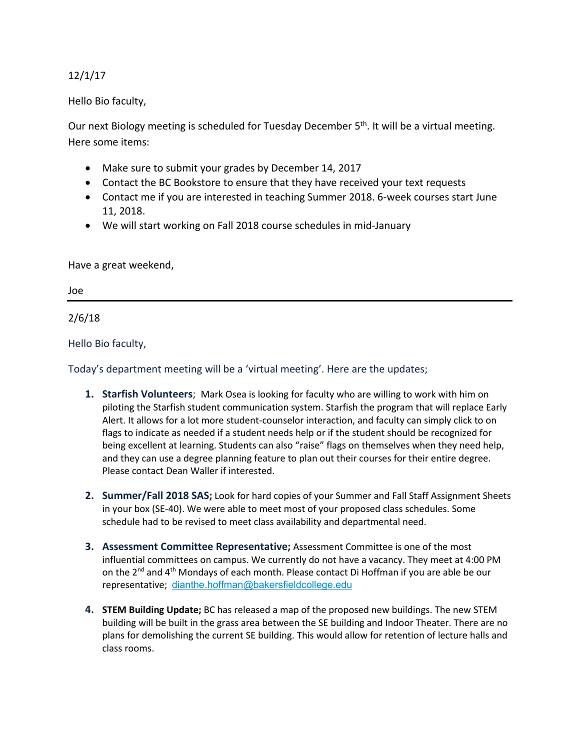## 12/1/17

Hello Bio faculty,

Our next Biology meeting is scheduled for Tuesday December 5<sup>th</sup>. It will be a virtual meeting. Here some items:

- Make sure to submit your grades by December 14, 2017
- Contact the BC Bookstore to ensure that they have received your text requests
- Contact me if you are interested in teaching Summer 2018. 6-week courses start June 11, 2018.
- We will start working on Fall 2018 course schedules in mid-January

Have a great weekend,

Joe

2/6/18

Hello Bio faculty,

Today's department meeting will be a 'virtual meeting'. Here are the updates;

- **1. Starfish Volunteers**; Mark Osea is looking for faculty who are willing to work with him on piloting the Starfish student communication system. Starfish the program that will replace Early Alert. It allows for a lot more student-counselor interaction, and faculty can simply click to on flags to indicate as needed if a student needs help or if the student should be recognized for being excellent at learning. Students can also "raise" flags on themselves when they need help, and they can use a degree planning feature to plan out their courses for their entire degree. Please contact Dean Waller if interested.
- **2. Summer/Fall 2018 SAS;** Look for hard copies of your Summer and Fall Staff Assignment Sheets in your box (SE-40). We were able to meet most of your proposed class schedules. Some schedule had to be revised to meet class availability and departmental need.
- **3. Assessment Committee Representative;** Assessment Committee is one of the most influential committees on campus. We currently do not have a vacancy. They meet at 4:00 PM on the 2<sup>nd</sup> and 4<sup>th</sup> Mondays of each month. Please contact Di Hoffman if you are able be our representative; [dianthe.hoffman@bakersfieldcollege.edu](mailto:dianthe.hoffman@bakersfieldcollege.edu)
- **4. STEM Building Update;** BC has released a map of the proposed new buildings. The new STEM building will be built in the grass area between the SE building and Indoor Theater. There are no plans for demolishing the current SE building. This would allow for retention of lecture halls and class rooms.